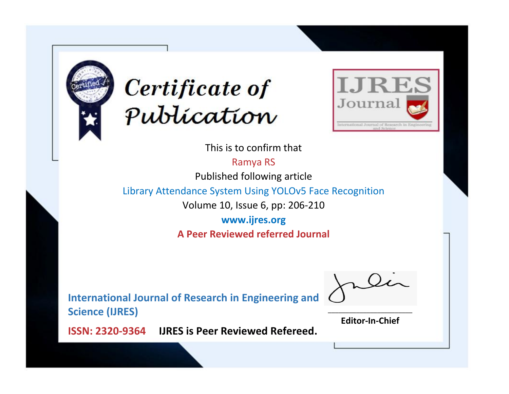



This is to confirm that

Ramya RS

Published following article

Library Attendance System Using YOLOv5 Face Recognition

Volume 10, Issue 6, pp: 206-210

**www.ijres.org A Peer Reviewed referred Journal**

**International Journal of Research in Engineering and Science (IJRES)**

\_\_\_\_\_\_\_\_\_\_\_\_\_\_\_\_\_\_\_\_\_\_\_\_ **Editor-In-Chief**

**Journal.**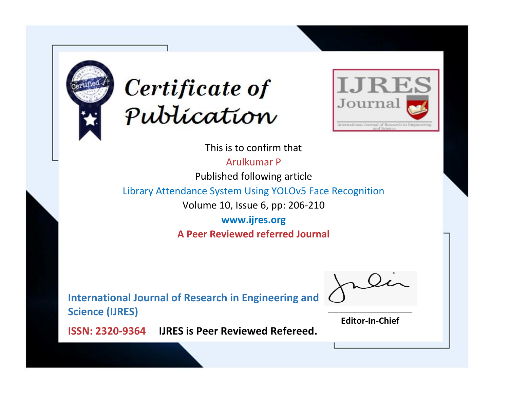



This is to confirm that

Arulkumar P

Published following article

Library Attendance System Using YOLOv5 Face Recognition

Volume 10, Issue 6, pp: 206-210

**www.ijres.org A Peer Reviewed referred Journal**

**International Journal of Research in Engineering and Science (IJRES)**

\_\_\_\_\_\_\_\_\_\_\_\_\_\_\_\_\_\_\_\_\_\_\_\_ **Editor-In-Chief**

**Journal.**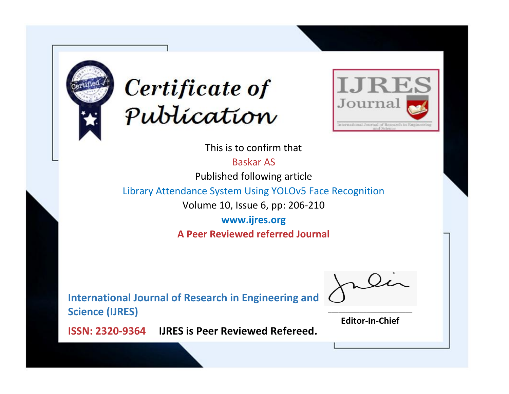



This is to confirm that

Baskar AS

Published following article

Library Attendance System Using YOLOv5 Face Recognition

Volume 10, Issue 6, pp: 206-210

**www.ijres.org A Peer Reviewed referred Journal**

**International Journal of Research in Engineering and Science (IJRES)**

\_\_\_\_\_\_\_\_\_\_\_\_\_\_\_\_\_\_\_\_\_\_\_\_ **Editor-In-Chief**

**Journal.**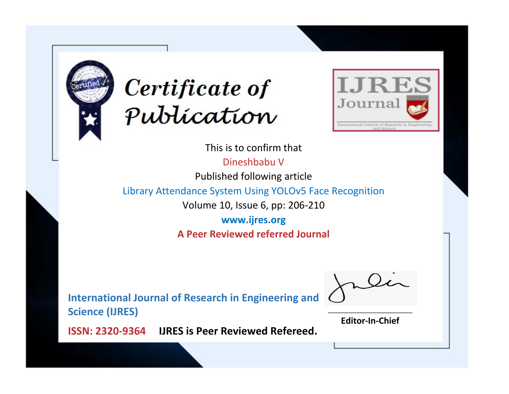



This is to confirm that

Dineshbabu V

Published following article

Library Attendance System Using YOLOv5 Face Recognition

Volume 10, Issue 6, pp: 206-210

**www.ijres.org A Peer Reviewed referred Journal**

**International Journal of Research in Engineering and Science (IJRES)**

\_\_\_\_\_\_\_\_\_\_\_\_\_\_\_\_\_\_\_\_\_\_\_\_ **Editor-In-Chief**

**Journal.**